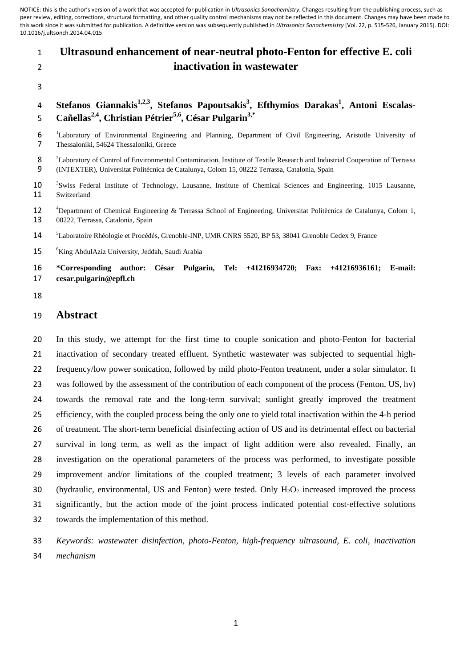NOTICE: this is the author's version of a work that was accepted for publication in *Ultrasonics Sonochemistry*. Changes resulting from the publishing process, such as peer review, editing, corrections, structural formatting, and other quality control mechanisms may not be reflected in this document. Changes may have been made to this work since it was submitted for publication. A definitive version was subsequently published in *Ultrasonics Sonochemistry* [Vol. 22, p. 515‐526, January 2015]. DOI: 10.1016/j.ultsonch.2014.04.015

# **Ultrasound enhancement of near-neutral photo-Fenton for effective E. coli inactivation in wastewater**

## 4 Stefanos Giannakis<sup>1,2,3</sup>, Stefanos Papoutsakis<sup>3</sup>, Efthymios Darakas<sup>1</sup>, Antoni Escalas-5 Cañellas<sup>2,4</sup>, Christian Pétrier<sup>5,6</sup>, César Pulgarin<sup>3,\*</sup>

- <sup>1</sup> Laboratory of Environmental Engineering and Planning, Department of Civil Engineering, Aristotle University of Thessaloniki, 54624 Thessaloniki, Greece
- 8 <sup>2</sup>Laboratory of Control of Environmental Contamination, Institute of Textile Research and Industrial Cooperation of Terrassa (INTEXTER), Universitat Politècnica de Catalunya, Colom 15, 08222 Terrassa, Catalonia, Spain
- <sup>3</sup> Swiss Federal Institute of Technology, Lausanne, Institute of Chemical Sciences and Engineering, 1015 Lausanne, Switzerland
- 12 <sup>4</sup>Department of Chemical Engineering & Terrassa School of Engineering, Universitat Politècnica de Catalunya, Colom 1, 08222, Terrassa, Catalonia, Spain
- <sup>5</sup> Laboratoire Rhéologie et Procédés, Grenoble-INP, UMR CNRS 5520, BP 53, 38041 Grenoble Cedex 9, France
- 15 <sup>6</sup> King AbdulAziz University, Jeddah, Saudi Arabia

 **\*Corresponding author: César Pulgarin, Tel: +41216934720; Fax: +41216936161; E-mail: cesar.pulgarin@epfl.ch**

### **Abstract**

 In this study, we attempt for the first time to couple sonication and photo-Fenton for bacterial inactivation of secondary treated effluent. Synthetic wastewater was subjected to sequential high-22 frequency/low power sonication, followed by mild photo-Fenton treatment, under a solar simulator. It was followed by the assessment of the contribution of each component of the process (Fenton, US, hv) towards the removal rate and the long-term survival; sunlight greatly improved the treatment efficiency, with the coupled process being the only one to yield total inactivation within the 4-h period of treatment. The short-term beneficial disinfecting action of US and its detrimental effect on bacterial survival in long term, as well as the impact of light addition were also revealed. Finally, an investigation on the operational parameters of the process was performed, to investigate possible improvement and/or limitations of the coupled treatment; 3 levels of each parameter involved 30 (hydraulic, environmental, US and Fenton) were tested. Only  $H_2O_2$  increased improved the process significantly, but the action mode of the joint process indicated potential cost-effective solutions towards the implementation of this method.

 *Keywords: wastewater disinfection, photo-Fenton, high-frequency ultrasound, E. coli, inactivation mechanism*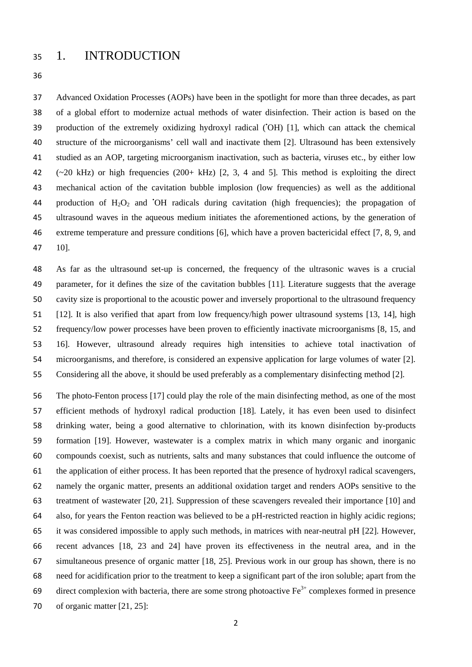## 1. INTRODUCTION

 Advanced Oxidation Processes (AOPs) have been in the spotlight for more than three decades, as part of a global effort to modernize actual methods of water disinfection. Their action is based on the 39 production of the extremely oxidizing hydroxyl radical ('OH) [1], which can attack the chemical structure of the microorganisms' cell wall and inactivate them [2]. Ultrasound has been extensively studied as an AOP, targeting microorganism inactivation, such as bacteria, viruses etc., by either low (~20 kHz) or high frequencies (200+ kHz) [2, 3, 4 and 5]. This method is exploiting the direct mechanical action of the cavitation bubble implosion (low frequencies) as well as the additional 44 production of  $H_2O_2$  and  $\overline{O}$ H radicals during cavitation (high frequencies); the propagation of ultrasound waves in the aqueous medium initiates the aforementioned actions, by the generation of extreme temperature and pressure conditions [6], which have a proven bactericidal effect [7, 8, 9, and 10].

 As far as the ultrasound set-up is concerned, the frequency of the ultrasonic waves is a crucial parameter, for it defines the size of the cavitation bubbles [11]. Literature suggests that the average cavity size is proportional to the acoustic power and inversely proportional to the ultrasound frequency [12]. It is also verified that apart from low frequency/high power ultrasound systems [13, 14], high frequency/low power processes have been proven to efficiently inactivate microorganisms [8, 15, and 16]. However, ultrasound already requires high intensities to achieve total inactivation of microorganisms, and therefore, is considered an expensive application for large volumes of water [2]. Considering all the above, it should be used preferably as a complementary disinfecting method [2].

 The photo-Fenton process [17] could play the role of the main disinfecting method, as one of the most efficient methods of hydroxyl radical production [18]. Lately, it has even been used to disinfect drinking water, being a good alternative to chlorination, with its known disinfection by-products formation [19]. However, wastewater is a complex matrix in which many organic and inorganic compounds coexist, such as nutrients, salts and many substances that could influence the outcome of the application of either process. It has been reported that the presence of hydroxyl radical scavengers, namely the organic matter, presents an additional oxidation target and renders AOPs sensitive to the treatment of wastewater [20, 21]. Suppression of these scavengers revealed their importance [10] and also, for years the Fenton reaction was believed to be a pH-restricted reaction in highly acidic regions; it was considered impossible to apply such methods, in matrices with near-neutral pH [22]. However, recent advances [18, 23 and 24] have proven its effectiveness in the neutral area, and in the simultaneous presence of organic matter [18, 25]. Previous work in our group has shown, there is no need for acidification prior to the treatment to keep a significant part of the iron soluble; apart from the 69 direct complexion with bacteria, there are some strong photoactive  $Fe^{3+}$  complexes formed in presence 70 of organic matter [21, 25]: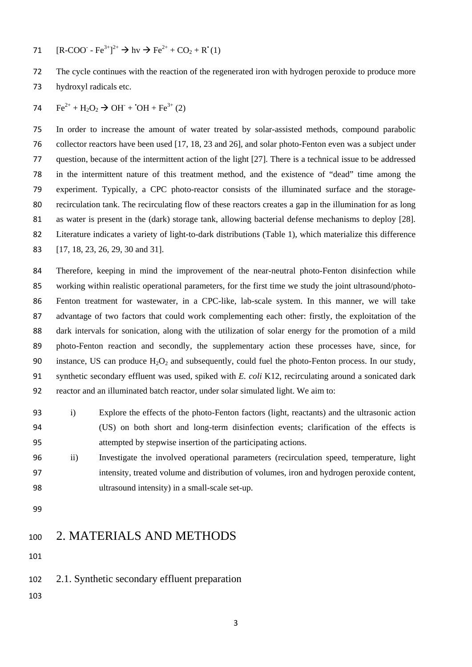71  $[R-COO - Fe^{3+}]^{2+} \to hv \to Fe^{2+} + CO_2 + R^{\bullet}(1)$ 

 The cycle continues with the reaction of the regenerated iron with hydrogen peroxide to produce more hydroxyl radicals etc.

74  $\text{Fe}^{2+} + \text{H}_2\text{O}_2 \rightarrow \text{OH}^+ + \text{OH}^+ + \text{Fe}^{3+}$  (2)

 In order to increase the amount of water treated by solar-assisted methods, compound parabolic collector reactors have been used [17, 18, 23 and 26], and solar photo-Fenton even was a subject under question, because of the intermittent action of the light [27]. There is a technical issue to be addressed in the intermittent nature of this treatment method, and the existence of "dead" time among the experiment. Typically, a CPC photo-reactor consists of the illuminated surface and the storage- recirculation tank. The recirculating flow of these reactors creates a gap in the illumination for as long as water is present in the (dark) storage tank, allowing bacterial defense mechanisms to deploy [28]. Literature indicates a variety of light-to-dark distributions (Table 1), which materialize this difference 83 [17, 18, 23, 26, 29, 30 and 31].

 Therefore, keeping in mind the improvement of the near-neutral photo-Fenton disinfection while working within realistic operational parameters, for the first time we study the joint ultrasound/photo- Fenton treatment for wastewater, in a CPC-like, lab-scale system. In this manner, we will take advantage of two factors that could work complementing each other: firstly, the exploitation of the dark intervals for sonication, along with the utilization of solar energy for the promotion of a mild photo-Fenton reaction and secondly, the supplementary action these processes have, since, for 90 instance, US can produce  $H_2O_2$  and subsequently, could fuel the photo-Fenton process. In our study, synthetic secondary effluent was used, spiked with *E. coli* K12, recirculating around a sonicated dark reactor and an illuminated batch reactor, under solar simulated light. We aim to:

- i) Explore the effects of the photo-Fenton factors (light, reactants) and the ultrasonic action (US) on both short and long-term disinfection events; clarification of the effects is attempted by stepwise insertion of the participating actions.
- ii) Investigate the involved operational parameters (recirculation speed, temperature, light intensity, treated volume and distribution of volumes, iron and hydrogen peroxide content, ultrasound intensity) in a small-scale set-up.

## 2. MATERIALS AND METHODS

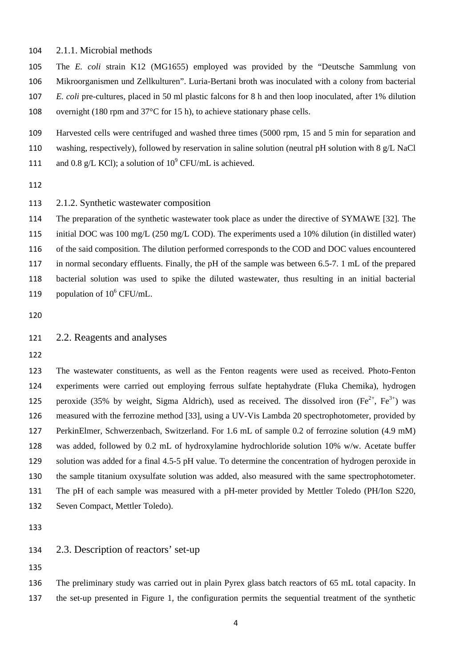2.1.1. Microbial methods

 The *E. coli* strain K12 (MG1655) employed was provided by the "Deutsche Sammlung von Mikroorganismen und Zellkulturen". Luria-Bertani broth was inoculated with a colony from bacterial

- *E. coli* pre-cultures, placed in 50 ml plastic falcons for 8 h and then loop inoculated, after 1% dilution
- 108 overnight (180 rpm and 37<sup>o</sup>C for 15 h), to achieve stationary phase cells.
- Harvested cells were centrifuged and washed three times (5000 rpm, 15 and 5 min for separation and
- washing, respectively), followed by reservation in saline solution (neutral pH solution with 8 g/L NaCl
- 111 and 0.8 g/L KCl); a solution of  $10^9$  CFU/mL is achieved.

2.1.2. Synthetic wastewater composition

The preparation of the synthetic wastewater took place as under the directive of SYMAWE [32]. The

initial DOC was 100 mg/L (250 mg/L COD). The experiments used a 10% dilution (in distilled water)

of the said composition. The dilution performed corresponds to the COD and DOC values encountered

in normal secondary effluents. Finally, the pH of the sample was between 6.5-7. 1 mL of the prepared

 bacterial solution was used to spike the diluted wastewater, thus resulting in an initial bacterial 119 population of  $10^6$  CFU/mL.

### 2.2. Reagents and analyses

 The wastewater constituents, as well as the Fenton reagents were used as received. Photo-Fenton experiments were carried out employing ferrous sulfate heptahydrate (Fluka Chemika), hydrogen 125 peroxide (35% by weight, Sigma Aldrich), used as received. The dissolved iron  $(Fe^{2+}, Fe^{3+})$  was measured with the ferrozine method [33], using a UV-Vis Lambda 20 spectrophotometer, provided by PerkinElmer, Schwerzenbach, Switzerland. For 1.6 mL of sample 0.2 of ferrozine solution (4.9 mM) was added, followed by 0.2 mL of hydroxylamine hydrochloride solution 10% w/w. Acetate buffer solution was added for a final 4.5-5 pH value. To determine the concentration of hydrogen peroxide in the sample titanium oxysulfate solution was added, also measured with the same spectrophotometer. The pH of each sample was measured with a pH-meter provided by Mettler Toledo (PH/Ion S220, Seven Compact, Mettler Toledo).

2.3. Description of reactors' set-up

 The preliminary study was carried out in plain Pyrex glass batch reactors of 65 mL total capacity. In the set-up presented in Figure 1, the configuration permits the sequential treatment of the synthetic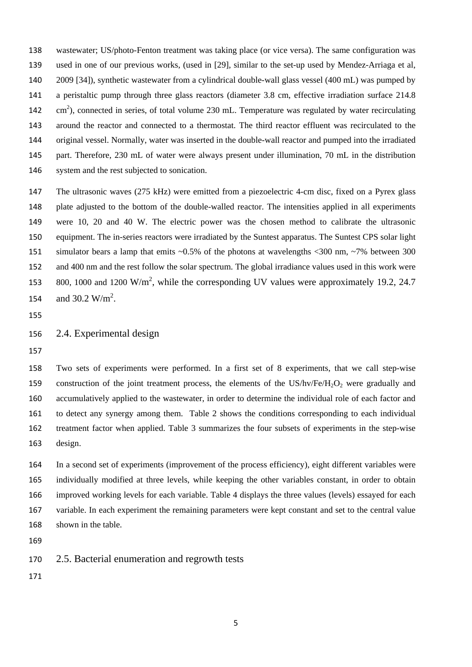- wastewater; US/photo-Fenton treatment was taking place (or vice versa). The same configuration was used in one of our previous works, (used in [29], similar to the set-up used by Mendez-Arriaga et al, 2009 [34]), synthetic wastewater from a cylindrical double-wall glass vessel (400 mL) was pumped by a peristaltic pump through three glass reactors (diameter 3.8 cm, effective irradiation surface 214.8  $cm<sup>2</sup>$ ), connected in series, of total volume 230 mL. Temperature was regulated by water recirculating around the reactor and connected to a thermostat. The third reactor effluent was recirculated to the original vessel. Normally, water was inserted in the double-wall reactor and pumped into the irradiated part. Therefore, 230 mL of water were always present under illumination, 70 mL in the distribution system and the rest subjected to sonication.
- The ultrasonic waves (275 kHz) were emitted from a piezoelectric 4-cm disc, fixed on a Pyrex glass plate adjusted to the bottom of the double-walled reactor. The intensities applied in all experiments were 10, 20 and 40 W. The electric power was the chosen method to calibrate the ultrasonic equipment. The in-series reactors were irradiated by the Suntest apparatus. The Suntest CPS solar light simulator bears a lamp that emits ~0.5% of the photons at wavelengths <300 nm, ~7% between 300 and 400 nm and the rest follow the solar spectrum. The global irradiance values used in this work were 153 800, 1000 and 1200 W/m<sup>2</sup>, while the corresponding UV values were approximately 19.2, 24.7 154 and 30.2  $W/m^2$ .
- 

2.4. Experimental design

 Two sets of experiments were performed. In a first set of 8 experiments, that we call step-wise 159 construction of the joint treatment process, the elements of the US/hv/Fe/H<sub>2</sub>O<sub>2</sub> were gradually and accumulatively applied to the wastewater, in order to determine the individual role of each factor and to detect any synergy among them. Table 2 shows the conditions corresponding to each individual treatment factor when applied. Table 3 summarizes the four subsets of experiments in the step-wise design.

 In a second set of experiments (improvement of the process efficiency), eight different variables were individually modified at three levels, while keeping the other variables constant, in order to obtain improved working levels for each variable. Table 4 displays the three values (levels) essayed for each variable. In each experiment the remaining parameters were kept constant and set to the central value shown in the table.

2.5. Bacterial enumeration and regrowth tests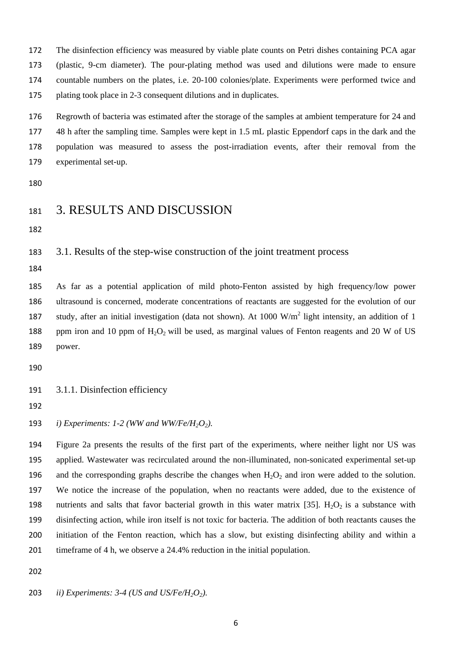The disinfection efficiency was measured by viable plate counts on Petri dishes containing PCA agar

(plastic, 9-cm diameter). The pour-plating method was used and dilutions were made to ensure

countable numbers on the plates, i.e. 20-100 colonies/plate. Experiments were performed twice and

plating took place in 2-3 consequent dilutions and in duplicates.

 Regrowth of bacteria was estimated after the storage of the samples at ambient temperature for 24 and 48 h after the sampling time. Samples were kept in 1.5 mL plastic Eppendorf caps in the dark and the population was measured to assess the post-irradiation events, after their removal from the experimental set-up.

# 3. RESULTS AND DISCUSSION

3.1. Results of the step-wise construction of the joint treatment process

 As far as a potential application of mild photo-Fenton assisted by high frequency/low power ultrasound is concerned, moderate concentrations of reactants are suggested for the evolution of our 187 study, after an initial investigation (data not shown). At  $1000 \text{ W/m}^2$  light intensity, an addition of 1 188 ppm iron and 10 ppm of  $H_2O_2$  will be used, as marginal values of Fenton reagents and 20 W of US power.

#### 3.1.1. Disinfection efficiency

 Figure 2a presents the results of the first part of the experiments, where neither light nor US was applied. Wastewater was recirculated around the non-illuminated, non-sonicated experimental set-up 196 and the corresponding graphs describe the changes when  $H_2O_2$  and iron were added to the solution. We notice the increase of the population, when no reactants were added, due to the existence of 198 nutrients and salts that favor bacterial growth in this water matrix [35].  $H_2O_2$  is a substance with disinfecting action, while iron itself is not toxic for bacteria. The addition of both reactants causes the initiation of the Fenton reaction, which has a slow, but existing disinfecting ability and within a timeframe of 4 h, we observe a 24.4% reduction in the initial population.

203 *ii)* Experiments:  $3-4$  (US and US/Fe/H<sub>2</sub>O<sub>2</sub>).

<sup>193</sup> *i)* Experiments:  $1\n-2$  (WW and WW/Fe/H<sub>2</sub>O<sub>2</sub>).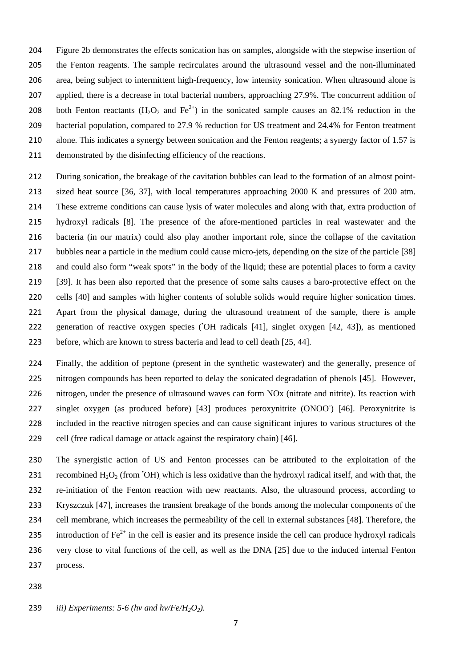- Figure 2b demonstrates the effects sonication has on samples, alongside with the stepwise insertion of the Fenton reagents. The sample recirculates around the ultrasound vessel and the non-illuminated area, being subject to intermittent high-frequency, low intensity sonication. When ultrasound alone is
- applied, there is a decrease in total bacterial numbers, approaching 27.9%. The concurrent addition of

208 both Fenton reactants  $(H_2O_2$  and  $Fe^{2+}$ ) in the sonicated sample causes an 82.1% reduction in the

bacterial population, compared to 27.9 % reduction for US treatment and 24.4% for Fenton treatment

- 210 alone. This indicates a synergy between sonication and the Fenton reagents; a synergy factor of 1.57 is
- demonstrated by the disinfecting efficiency of the reactions.
- During sonication, the breakage of the cavitation bubbles can lead to the formation of an almost point- sized heat source [36, 37], with local temperatures approaching 2000 K and pressures of 200 atm. These extreme conditions can cause lysis of water molecules and along with that, extra production of hydroxyl radicals [8]. The presence of the afore-mentioned particles in real wastewater and the bacteria (in our matrix) could also play another important role, since the collapse of the cavitation bubbles near a particle in the medium could cause micro-jets, depending on the size of the particle [38] and could also form "weak spots" in the body of the liquid; these are potential places to form a cavity [39]. It has been also reported that the presence of some salts causes a baro-protective effect on the cells [40] and samples with higher contents of soluble solids would require higher sonication times. Apart from the physical damage, during the ultrasound treatment of the sample, there is ample 222 generation of reactive oxygen species ( $\text{OH}$  radicals [41], singlet oxygen [42, 43]), as mentioned before, which are known to stress bacteria and lead to cell death [25, 44].
- Finally, the addition of peptone (present in the synthetic wastewater) and the generally, presence of nitrogen compounds has been reported to delay the sonicated degradation of phenols [45]. However, nitrogen, under the presence of ultrasound waves can form NOx (nitrate and nitrite). Its reaction with 227 singlet oxygen (as produced before) [43] produces peroxynitrite (ONOO<sup>-</sup>) [46]. Peroxynitrite is included in the reactive nitrogen species and can cause significant injures to various structures of the 229 cell (free radical damage or attack against the respiratory chain) [46].
- The synergistic action of US and Fenton processes can be attributed to the exploitation of the 231 recombined H<sub>2</sub>O<sub>2</sub> (from  $\dot{O}$ H) which is less oxidative than the hydroxyl radical itself, and with that, the re-initiation of the Fenton reaction with new reactants. Also, the ultrasound process, according to Kryszczuk [47], increases the transient breakage of the bonds among the molecular components of the cell membrane, which increases the permeability of the cell in external substances [48]. Therefore, the 235 introduction of  $Fe^{2+}$  in the cell is easier and its presence inside the cell can produce hydroxyl radicals very close to vital functions of the cell, as well as the DNA [25] due to the induced internal Fenton process.
- 
- 239 *iii*) Experiments: 5-6 (hv and hv/Fe/H<sub>2</sub>O<sub>2</sub>).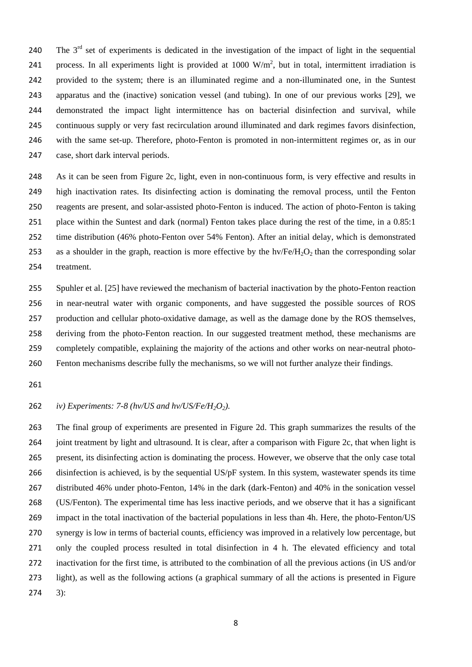240 The  $3<sup>rd</sup>$  set of experiments is dedicated in the investigation of the impact of light in the sequential 241 process. In all experiments light is provided at  $1000 \text{ W/m}^2$ , but in total, intermittent irradiation is provided to the system; there is an illuminated regime and a non-illuminated one, in the Suntest apparatus and the (inactive) sonication vessel (and tubing). In one of our previous works [29], we demonstrated the impact light intermittence has on bacterial disinfection and survival, while continuous supply or very fast recirculation around illuminated and dark regimes favors disinfection, with the same set-up. Therefore, photo-Fenton is promoted in non-intermittent regimes or, as in our case, short dark interval periods.

 As it can be seen from Figure 2c, light, even in non-continuous form, is very effective and results in high inactivation rates. Its disinfecting action is dominating the removal process, until the Fenton reagents are present, and solar-assisted photo-Fenton is induced. The action of photo-Fenton is taking 251 place within the Suntest and dark (normal) Fenton takes place during the rest of the time, in a 0.85:1 time distribution (46% photo-Fenton over 54% Fenton). After an initial delay, which is demonstrated 253 as a shoulder in the graph, reaction is more effective by the  $h\nu$ /Fe/H<sub>2</sub>O<sub>2</sub> than the corresponding solar treatment.

 Spuhler et al. [25] have reviewed the mechanism of bacterial inactivation by the photo-Fenton reaction in near-neutral water with organic components, and have suggested the possible sources of ROS production and cellular photo-oxidative damage, as well as the damage done by the ROS themselves, deriving from the photo-Fenton reaction. In our suggested treatment method, these mechanisms are completely compatible, explaining the majority of the actions and other works on near-neutral photo-Fenton mechanisms describe fully the mechanisms, so we will not further analyze their findings.

#### 262 *iv)* Experiments: 7-8 (hv/US and hv/US/Fe/H<sub>2</sub>O<sub>2</sub>).

 The final group of experiments are presented in Figure 2d. This graph summarizes the results of the 264 joint treatment by light and ultrasound. It is clear, after a comparison with Figure 2c, that when light is present, its disinfecting action is dominating the process. However, we observe that the only case total 266 disinfection is achieved, is by the sequential US/pF system. In this system, wastewater spends its time distributed 46% under photo-Fenton, 14% in the dark (dark-Fenton) and 40% in the sonication vessel (US/Fenton). The experimental time has less inactive periods, and we observe that it has a significant impact in the total inactivation of the bacterial populations in less than 4h. Here, the photo-Fenton/US synergy is low in terms of bacterial counts, efficiency was improved in a relatively low percentage, but only the coupled process resulted in total disinfection in 4 h. The elevated efficiency and total inactivation for the first time, is attributed to the combination of all the previous actions (in US and/or light), as well as the following actions (a graphical summary of all the actions is presented in Figure 3):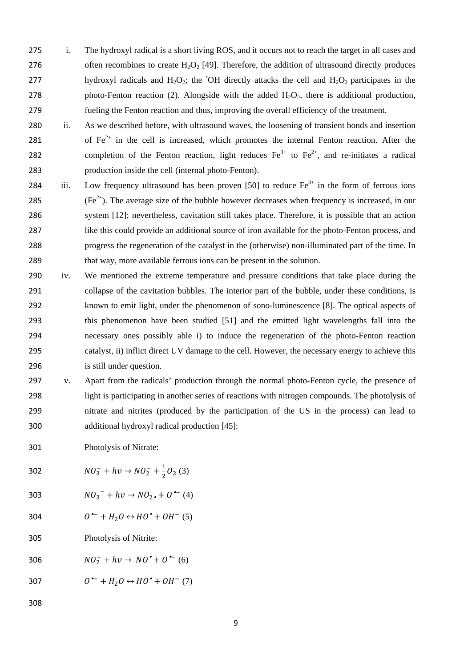- i. The hydroxyl radical is a short living ROS, and it occurs not to reach the target in all cases and 276 often recombines to create  $H_2O_2$  [49]. Therefore, the addition of ultrasound directly produces 277 hydroxyl radicals and  $H_2O_2$ ; the 'OH directly attacks the cell and  $H_2O_2$  participates in the 278 photo-Fenton reaction (2). Alongside with the added  $H_2O_2$ , there is additional production, fueling the Fenton reaction and thus, improving the overall efficiency of the treatment.
- ii. As we described before, with ultrasound waves, the loosening of transient bonds and insertion 281 of  $\text{Fe}^{2+}$  in the cell is increased, which promotes the internal Fenton reaction. After the 282 completion of the Fenton reaction, light reduces  $Fe^{3+}$  to  $Fe^{2+}$ , and re-initiates a radical production inside the cell (internal photo-Fenton).
- 284 iii. Low frequency ultrasound has been proven [50] to reduce  $Fe<sup>3+</sup>$  in the form of ferrous ions 285 ( $Fe^{2+}$ ). The average size of the bubble however decreases when frequency is increased, in our system [12]; nevertheless, cavitation still takes place. Therefore, it is possible that an action like this could provide an additional source of iron available for the photo-Fenton process, and progress the regeneration of the catalyst in the (otherwise) non-illuminated part of the time. In that way, more available ferrous ions can be present in the solution.
- iv. We mentioned the extreme temperature and pressure conditions that take place during the collapse of the cavitation bubbles. The interior part of the bubble, under these conditions, is known to emit light, under the phenomenon of sono-luminescence [8]. The optical aspects of this phenomenon have been studied [51] and the emitted light wavelengths fall into the necessary ones possibly able i) to induce the regeneration of the photo-Fenton reaction catalyst, ii) inflict direct UV damage to the cell. However, the necessary energy to achieve this is still under question.
- v. Apart from the radicals' production through the normal photo-Fenton cycle, the presence of light is participating in another series of reactions with nitrogen compounds. The photolysis of nitrate and nitrites (produced by the participation of the US in the process) can lead to additional hydroxyl radical production [45]:
- Photolysis of Nitrate:
- 302  $NO_3^- + hv \rightarrow NO_2^- + \frac{1}{2}O_2$  (3)
- 303  $NO_3^- + hv \rightarrow NO_2 \cdot + O^{-1}(4)$
- $0^{\bullet -} + H_2 O \leftrightarrow HO^{\bullet} + OH^-(5)$
- Photolysis of Nitrite:
- 306  $NO_2^- + hv \to NO^+ + O^{-}$  (6)
- 307  $0 H_2 O \leftrightarrow HO^+ + OH^- (7)$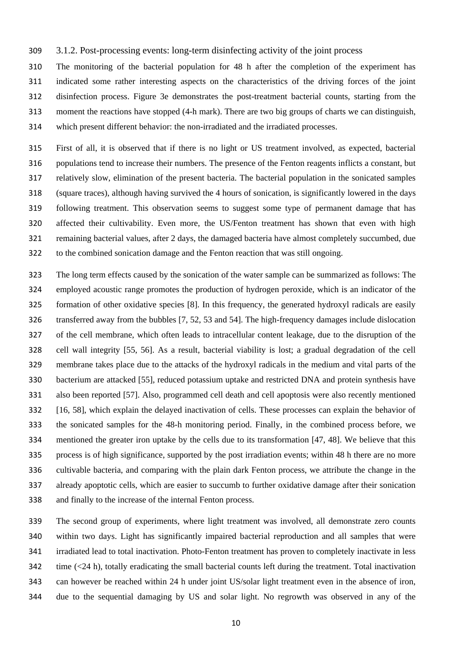3.1.2. Post-processing events: long-term disinfecting activity of the joint process

 The monitoring of the bacterial population for 48 h after the completion of the experiment has indicated some rather interesting aspects on the characteristics of the driving forces of the joint disinfection process. Figure 3e demonstrates the post-treatment bacterial counts, starting from the moment the reactions have stopped (4-h mark). There are two big groups of charts we can distinguish, which present different behavior: the non-irradiated and the irradiated processes.

 First of all, it is observed that if there is no light or US treatment involved, as expected, bacterial populations tend to increase their numbers. The presence of the Fenton reagents inflicts a constant, but relatively slow, elimination of the present bacteria. The bacterial population in the sonicated samples (square traces), although having survived the 4 hours of sonication, is significantly lowered in the days following treatment. This observation seems to suggest some type of permanent damage that has affected their cultivability. Even more, the US/Fenton treatment has shown that even with high remaining bacterial values, after 2 days, the damaged bacteria have almost completely succumbed, due to the combined sonication damage and the Fenton reaction that was still ongoing.

 The long term effects caused by the sonication of the water sample can be summarized as follows: The employed acoustic range promotes the production of hydrogen peroxide, which is an indicator of the formation of other oxidative species [8]. In this frequency, the generated hydroxyl radicals are easily transferred away from the bubbles [7, 52, 53 and 54]. The high-frequency damages include dislocation of the cell membrane, which often leads to intracellular content leakage, due to the disruption of the cell wall integrity [55, 56]. As a result, bacterial viability is lost; a gradual degradation of the cell membrane takes place due to the attacks of the hydroxyl radicals in the medium and vital parts of the bacterium are attacked [55], reduced potassium uptake and restricted DNA and protein synthesis have also been reported [57]. Also, programmed cell death and cell apoptosis were also recently mentioned [16, 58], which explain the delayed inactivation of cells. These processes can explain the behavior of the sonicated samples for the 48-h monitoring period. Finally, in the combined process before, we mentioned the greater iron uptake by the cells due to its transformation [47, 48]. We believe that this process is of high significance, supported by the post irradiation events; within 48 h there are no more cultivable bacteria, and comparing with the plain dark Fenton process, we attribute the change in the already apoptotic cells, which are easier to succumb to further oxidative damage after their sonication and finally to the increase of the internal Fenton process.

 The second group of experiments, where light treatment was involved, all demonstrate zero counts within two days. Light has significantly impaired bacterial reproduction and all samples that were irradiated lead to total inactivation. Photo-Fenton treatment has proven to completely inactivate in less time (<24 h), totally eradicating the small bacterial counts left during the treatment. Total inactivation can however be reached within 24 h under joint US/solar light treatment even in the absence of iron, due to the sequential damaging by US and solar light. No regrowth was observed in any of the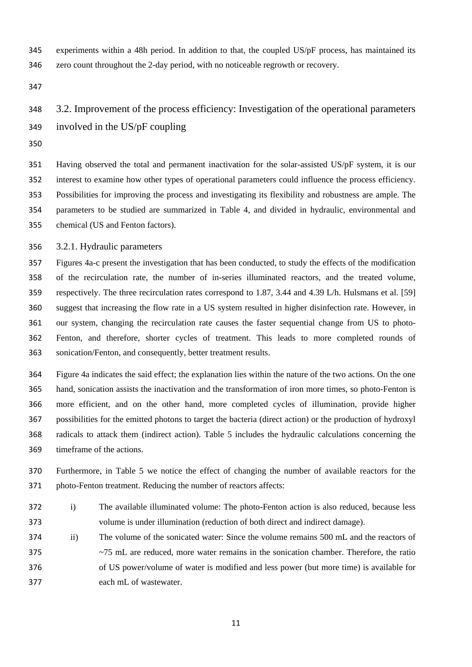experiments within a 48h period. In addition to that, the coupled US/pF process, has maintained its zero count throughout the 2-day period, with no noticeable regrowth or recovery.

## 3.2. Improvement of the process efficiency: Investigation of the operational parameters

- involved in the US/pF coupling
- 

 Having observed the total and permanent inactivation for the solar-assisted US/pF system, it is our interest to examine how other types of operational parameters could influence the process efficiency. Possibilities for improving the process and investigating its flexibility and robustness are ample. The parameters to be studied are summarized in Table 4, and divided in hydraulic, environmental and chemical (US and Fenton factors).

#### 3.2.1. Hydraulic parameters

 Figures 4a-c present the investigation that has been conducted, to study the effects of the modification of the recirculation rate, the number of in-series illuminated reactors, and the treated volume, respectively. The three recirculation rates correspond to 1.87, 3.44 and 4.39 L/h. Hulsmans et al. [59] suggest that increasing the flow rate in a US system resulted in higher disinfection rate. However, in our system, changing the recirculation rate causes the faster sequential change from US to photo- Fenton, and therefore, shorter cycles of treatment. This leads to more completed rounds of sonication/Fenton, and consequently, better treatment results.

 Figure 4a indicates the said effect; the explanation lies within the nature of the two actions. On the one hand, sonication assists the inactivation and the transformation of iron more times, so photo-Fenton is more efficient, and on the other hand, more completed cycles of illumination, provide higher possibilities for the emitted photons to target the bacteria (direct action) or the production of hydroxyl radicals to attack them (indirect action). Table 5 includes the hydraulic calculations concerning the timeframe of the actions.

 Furthermore, in Table 5 we notice the effect of changing the number of available reactors for the photo-Fenton treatment. Reducing the number of reactors affects:

- i) The available illuminated volume: The photo-Fenton action is also reduced, because less volume is under illumination (reduction of both direct and indirect damage).
- ii) The volume of the sonicated water: Since the volume remains 500 mL and the reactors of ~75 mL are reduced, more water remains in the sonication chamber. Therefore, the ratio of US power/volume of water is modified and less power (but more time) is available for each mL of wastewater.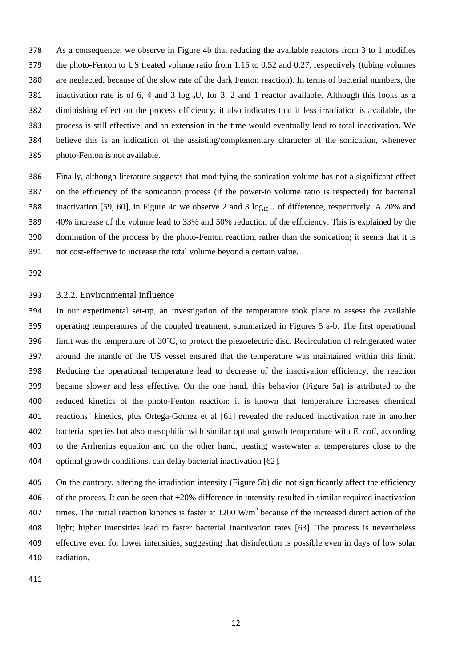- As a consequence, we observe in Figure 4b that reducing the available reactors from 3 to 1 modifies
- the photo-Fenton to US treated volume ratio from 1.15 to 0.52 and 0.27, respectively (tubing volumes
- are neglected, because of the slow rate of the dark Fenton reaction). In terms of bacterial numbers, the
- 381 inactivation rate is of 6, 4 and 3  $log_{10}U$ , for 3, 2 and 1 reactor available. Although this looks as a
- diminishing effect on the process efficiency, it also indicates that if less irradiation is available, the
- process is still effective, and an extension in the time would eventually lead to total inactivation. We
- believe this is an indication of the assisting/complementary character of the sonication, whenever
- photo-Fenton is not available.
- Finally, although literature suggests that modifying the sonication volume has not a significant effect on the efficiency of the sonication process (if the power-to volume ratio is respected) for bacterial 388 inactivation [59, 60], in Figure 4c we observe 2 and 3  $log_{10}U$  of difference, respectively. A 20% and 40% increase of the volume lead to 33% and 50% reduction of the efficiency. This is explained by the domination of the process by the photo-Fenton reaction, rather than the sonication; it seems that it is not cost-effective to increase the total volume beyond a certain value.
- 

#### 3.2.2. Environmental influence

 In our experimental set-up, an investigation of the temperature took place to assess the available operating temperatures of the coupled treatment, summarized in Figures 5 a-b. The first operational limit was the temperature of 30˚C, to protect the piezoelectric disc. Recirculation of refrigerated water around the mantle of the US vessel ensured that the temperature was maintained within this limit. Reducing the operational temperature lead to decrease of the inactivation efficiency; the reaction became slower and less effective. On the one hand, this behavior (Figure 5a) is attributed to the reduced kinetics of the photo-Fenton reaction: it is known that temperature increases chemical reactions' kinetics, plus Ortega-Gomez et al [61] revealed the reduced inactivation rate in another bacterial species but also mesophilic with similar optimal growth temperature with *E. coli*, according to the Arrhenius equation and on the other hand, treating wastewater at temperatures close to the optimal growth conditions, can delay bacterial inactivation [62].

- On the contrary, altering the irradiation intensity (Figure 5b) did not significantly affect the efficiency
- 406 of the process. It can be seen that  $\pm 20\%$  difference in intensity resulted in similar required inactivation
- 407 times. The initial reaction kinetics is faster at  $1200 \text{ W/m}^2$  because of the increased direct action of the
- light; higher intensities lead to faster bacterial inactivation rates [63]. The process is nevertheless
- effective even for lower intensities, suggesting that disinfection is possible even in days of low solar
- radiation.
-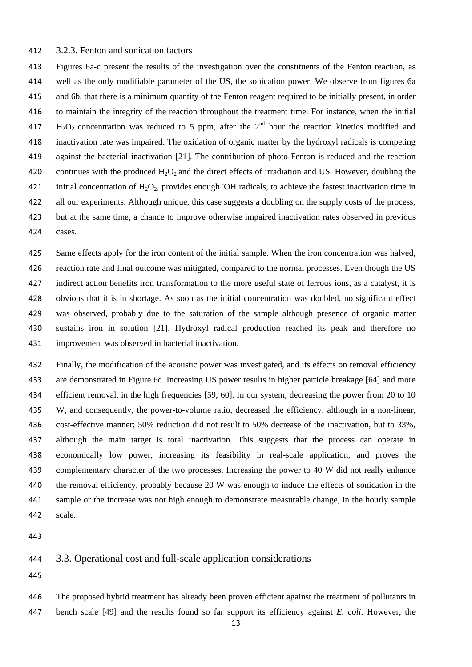#### 3.2.3. Fenton and sonication factors

 Figures 6a-c present the results of the investigation over the constituents of the Fenton reaction, as well as the only modifiable parameter of the US, the sonication power. We observe from figures 6a and 6b, that there is a minimum quantity of the Fenton reagent required to be initially present, in order to maintain the integrity of the reaction throughout the treatment time. For instance, when the initial  $H_2O_2$  concentration was reduced to 5 ppm, after the  $2<sup>nd</sup>$  hour the reaction kinetics modified and inactivation rate was impaired. The oxidation of organic matter by the hydroxyl radicals is competing against the bacterial inactivation [21]. The contribution of photo-Fenton is reduced and the reaction 420 continues with the produced  $H_2O_2$  and the direct effects of irradiation and US. However, doubling the 421 initial concentration of  $H_2O_2$ , provides enough  $\overline{O}$  contained Algorithm entired inactivation time in all our experiments. Although unique, this case suggests a doubling on the supply costs of the process, but at the same time, a chance to improve otherwise impaired inactivation rates observed in previous cases.

 Same effects apply for the iron content of the initial sample. When the iron concentration was halved, reaction rate and final outcome was mitigated, compared to the normal processes. Even though the US indirect action benefits iron transformation to the more useful state of ferrous ions, as a catalyst, it is obvious that it is in shortage. As soon as the initial concentration was doubled, no significant effect was observed, probably due to the saturation of the sample although presence of organic matter sustains iron in solution [21]. Hydroxyl radical production reached its peak and therefore no improvement was observed in bacterial inactivation.

 Finally, the modification of the acoustic power was investigated, and its effects on removal efficiency are demonstrated in Figure 6c. Increasing US power results in higher particle breakage [64] and more 434 efficient removal, in the high frequencies [59, 60]. In our system, decreasing the power from 20 to 10 W, and consequently, the power-to-volume ratio, decreased the efficiency, although in a non-linear, cost-effective manner; 50% reduction did not result to 50% decrease of the inactivation, but to 33%, although the main target is total inactivation. This suggests that the process can operate in economically low power, increasing its feasibility in real-scale application, and proves the complementary character of the two processes. Increasing the power to 40 W did not really enhance the removal efficiency, probably because 20 W was enough to induce the effects of sonication in the sample or the increase was not high enough to demonstrate measurable change, in the hourly sample scale.

#### 3.3. Operational cost and full-scale application considerations

 The proposed hybrid treatment has already been proven efficient against the treatment of pollutants in bench scale [49] and the results found so far support its efficiency against *E. coli*. However, the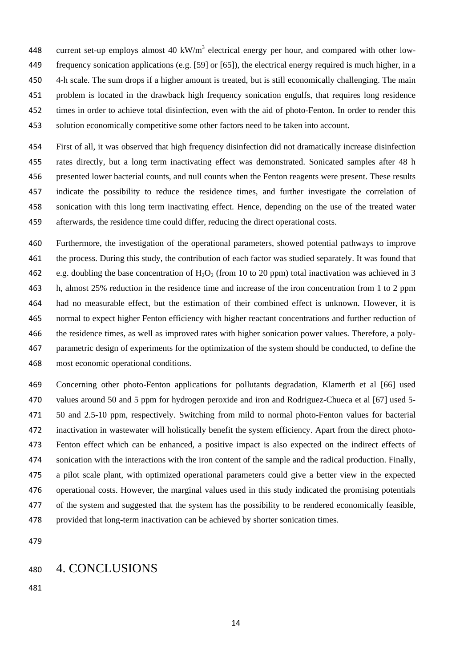- 448 current set-up employs almost 40 kW/m<sup>3</sup> electrical energy per hour, and compared with other low- frequency sonication applications (e.g. [59] or [65]), the electrical energy required is much higher, in a 4-h scale. The sum drops if a higher amount is treated, but is still economically challenging. The main problem is located in the drawback high frequency sonication engulfs, that requires long residence times in order to achieve total disinfection, even with the aid of photo-Fenton. In order to render this solution economically competitive some other factors need to be taken into account.
- First of all, it was observed that high frequency disinfection did not dramatically increase disinfection rates directly, but a long term inactivating effect was demonstrated. Sonicated samples after 48 h presented lower bacterial counts, and null counts when the Fenton reagents were present. These results indicate the possibility to reduce the residence times, and further investigate the correlation of sonication with this long term inactivating effect. Hence, depending on the use of the treated water afterwards, the residence time could differ, reducing the direct operational costs.
- Furthermore, the investigation of the operational parameters, showed potential pathways to improve the process. During this study, the contribution of each factor was studied separately. It was found that 462 e.g. doubling the base concentration of H<sub>2</sub>O<sub>2</sub> (from 10 to 20 ppm) total inactivation was achieved in 3 h, almost 25% reduction in the residence time and increase of the iron concentration from 1 to 2 ppm had no measurable effect, but the estimation of their combined effect is unknown. However, it is normal to expect higher Fenton efficiency with higher reactant concentrations and further reduction of the residence times, as well as improved rates with higher sonication power values. Therefore, a poly- parametric design of experiments for the optimization of the system should be conducted, to define the most economic operational conditions.
- Concerning other photo-Fenton applications for pollutants degradation, Klamerth et al [66] used values around 50 and 5 ppm for hydrogen peroxide and iron and Rodriguez-Chueca et al [67] used 5- 50 and 2.5-10 ppm, respectively. Switching from mild to normal photo-Fenton values for bacterial inactivation in wastewater will holistically benefit the system efficiency. Apart from the direct photo- Fenton effect which can be enhanced, a positive impact is also expected on the indirect effects of sonication with the interactions with the iron content of the sample and the radical production. Finally, a pilot scale plant, with optimized operational parameters could give a better view in the expected operational costs. However, the marginal values used in this study indicated the promising potentials of the system and suggested that the system has the possibility to be rendered economically feasible, provided that long-term inactivation can be achieved by shorter sonication times.

# 4. CONCLUSIONS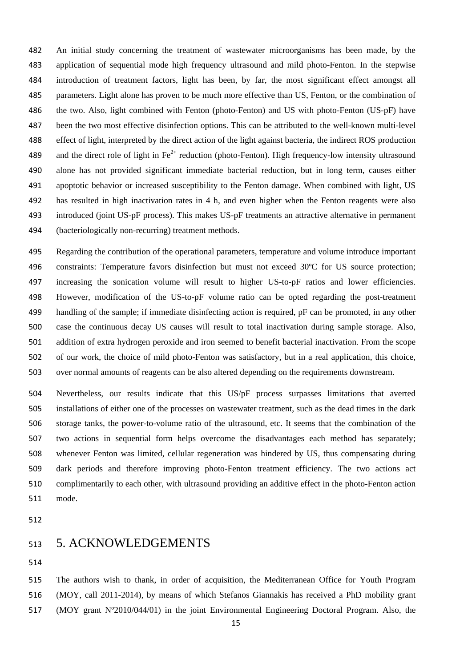An initial study concerning the treatment of wastewater microorganisms has been made, by the application of sequential mode high frequency ultrasound and mild photo-Fenton. In the stepwise introduction of treatment factors, light has been, by far, the most significant effect amongst all parameters. Light alone has proven to be much more effective than US, Fenton, or the combination of the two. Also, light combined with Fenton (photo-Fenton) and US with photo-Fenton (US-pF) have been the two most effective disinfection options. This can be attributed to the well-known multi-level effect of light, interpreted by the direct action of the light against bacteria, the indirect ROS production 489 and the direct role of light in  $Fe^{2+}$  reduction (photo-Fenton). High frequency-low intensity ultrasound alone has not provided significant immediate bacterial reduction, but in long term, causes either apoptotic behavior or increased susceptibility to the Fenton damage. When combined with light, US has resulted in high inactivation rates in 4 h, and even higher when the Fenton reagents were also introduced (joint US-pF process). This makes US-pF treatments an attractive alternative in permanent (bacteriologically non-recurring) treatment methods.

 Regarding the contribution of the operational parameters, temperature and volume introduce important constraints: Temperature favors disinfection but must not exceed 30ºC for US source protection; increasing the sonication volume will result to higher US-to-pF ratios and lower efficiencies. However, modification of the US-to-pF volume ratio can be opted regarding the post-treatment handling of the sample; if immediate disinfecting action is required, pF can be promoted, in any other case the continuous decay US causes will result to total inactivation during sample storage. Also, addition of extra hydrogen peroxide and iron seemed to benefit bacterial inactivation. From the scope of our work, the choice of mild photo-Fenton was satisfactory, but in a real application, this choice, over normal amounts of reagents can be also altered depending on the requirements downstream.

 Nevertheless, our results indicate that this US/pF process surpasses limitations that averted installations of either one of the processes on wastewater treatment, such as the dead times in the dark storage tanks, the power-to-volume ratio of the ultrasound, etc. It seems that the combination of the two actions in sequential form helps overcome the disadvantages each method has separately; whenever Fenton was limited, cellular regeneration was hindered by US, thus compensating during dark periods and therefore improving photo-Fenton treatment efficiency. The two actions act complimentarily to each other, with ultrasound providing an additive effect in the photo-Fenton action mode.

## 5. ACKNOWLEDGEMENTS

 The authors wish to thank, in order of acquisition, the Mediterranean Office for Youth Program (MOY, call 2011-2014), by means of which Stefanos Giannakis has received a PhD mobility grant (MOY grant Nº2010/044/01) in the joint Environmental Engineering Doctoral Program. Also, the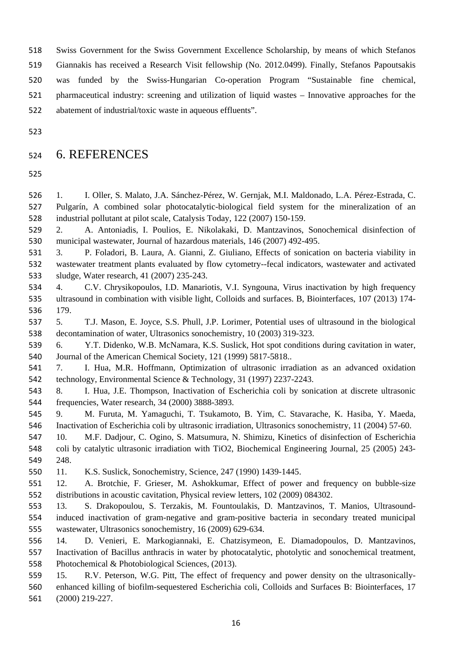Swiss Government for the Swiss Government Excellence Scholarship, by means of which Stefanos Giannakis has received a Research Visit fellowship (No. 2012.0499). Finally, Stefanos Papoutsakis was funded by the Swiss-Hungarian Co-operation Program "Sustainable fine chemical, pharmaceutical industry: screening and utilization of liquid wastes – Innovative approaches for the abatement of industrial/toxic waste in aqueous effluents".

## 6. REFERENCES

 1. I. Oller, S. Malato, J.A. Sánchez-Pérez, W. Gernjak, M.I. Maldonado, L.A. Pérez-Estrada, C. Pulgarín, A combined solar photocatalytic-biological field system for the mineralization of an industrial pollutant at pilot scale, Catalysis Today, 122 (2007) 150-159.

 2. A. Antoniadis, I. Poulios, E. Nikolakaki, D. Mantzavinos, Sonochemical disinfection of municipal wastewater, Journal of hazardous materials, 146 (2007) 492-495.

 3. P. Foladori, B. Laura, A. Gianni, Z. Giuliano, Effects of sonication on bacteria viability in wastewater treatment plants evaluated by flow cytometry--fecal indicators, wastewater and activated sludge, Water research, 41 (2007) 235-243.

 4. C.V. Chrysikopoulos, I.D. Manariotis, V.I. Syngouna, Virus inactivation by high frequency ultrasound in combination with visible light, Colloids and surfaces. B, Biointerfaces, 107 (2013) 174- 179.

 5. T.J. Mason, E. Joyce, S.S. Phull, J.P. Lorimer, Potential uses of ultrasound in the biological decontamination of water, Ultrasonics sonochemistry, 10 (2003) 319-323.

 6. Y.T. Didenko, W.B. McNamara, K.S. Suslick, Hot spot conditions during cavitation in water, Journal of the American Chemical Society, 121 (1999) 5817-5818..

 7. I. Hua, M.R. Hoffmann, Optimization of ultrasonic irradiation as an advanced oxidation technology, Environmental Science & Technology, 31 (1997) 2237-2243.

 8. I. Hua, J.E. Thompson, Inactivation of Escherichia coli by sonication at discrete ultrasonic frequencies, Water research, 34 (2000) 3888-3893.

 9. M. Furuta, M. Yamaguchi, T. Tsukamoto, B. Yim, C. Stavarache, K. Hasiba, Y. Maeda, Inactivation of Escherichia coli by ultrasonic irradiation, Ultrasonics sonochemistry, 11 (2004) 57-60.

 10. M.F. Dadjour, C. Ogino, S. Matsumura, N. Shimizu, Kinetics of disinfection of Escherichia coli by catalytic ultrasonic irradiation with TiO2, Biochemical Engineering Journal, 25 (2005) 243- 248.

11. K.S. Suslick, Sonochemistry, Science, 247 (1990) 1439-1445.

 12. A. Brotchie, F. Grieser, M. Ashokkumar, Effect of power and frequency on bubble-size distributions in acoustic cavitation, Physical review letters, 102 (2009) 084302.

 13. S. Drakopoulou, S. Terzakis, M. Fountoulakis, D. Mantzavinos, T. Manios, Ultrasound- induced inactivation of gram-negative and gram-positive bacteria in secondary treated municipal wastewater, Ultrasonics sonochemistry, 16 (2009) 629-634.

 14. D. Venieri, E. Markogiannaki, E. Chatzisymeon, E. Diamadopoulos, D. Mantzavinos, Inactivation of Bacillus anthracis in water by photocatalytic, photolytic and sonochemical treatment, Photochemical & Photobiological Sciences, (2013).

 15. R.V. Peterson, W.G. Pitt, The effect of frequency and power density on the ultrasonically- enhanced killing of biofilm-sequestered Escherichia coli, Colloids and Surfaces B: Biointerfaces, 17 (2000) 219-227.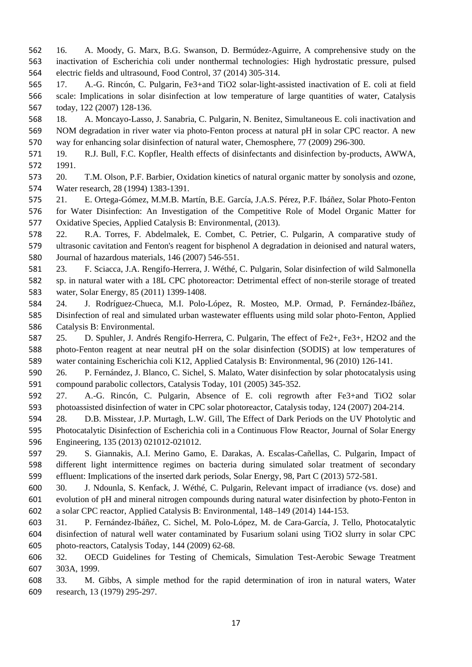- 16. A. Moody, G. Marx, B.G. Swanson, D. Bermúdez-Aguirre, A comprehensive study on the inactivation of Escherichia coli under nonthermal technologies: High hydrostatic pressure, pulsed electric fields and ultrasound, Food Control, 37 (2014) 305-314.
- 17. A.-G. Rincón, C. Pulgarin, Fe3+and TiO2 solar-light-assisted inactivation of E. coli at field scale: Implications in solar disinfection at low temperature of large quantities of water, Catalysis today, 122 (2007) 128-136.
- 18. A. Moncayo-Lasso, J. Sanabria, C. Pulgarin, N. Benitez, Simultaneous E. coli inactivation and NOM degradation in river water via photo-Fenton process at natural pH in solar CPC reactor. A new way for enhancing solar disinfection of natural water, Chemosphere, 77 (2009) 296-300.
- 19. R.J. Bull, F.C. Kopfler, Health effects of disinfectants and disinfection by-products, AWWA, 1991.
- 20. T.M. Olson, P.F. Barbier, Oxidation kinetics of natural organic matter by sonolysis and ozone, Water research, 28 (1994) 1383-1391.
- 21. E. Ortega-Gómez, M.M.B. Martín, B.E. García, J.A.S. Pérez, P.F. Ibáñez, Solar Photo-Fenton for Water Disinfection: An Investigation of the Competitive Role of Model Organic Matter for Oxidative Species, Applied Catalysis B: Environmental, (2013).
- 22. R.A. Torres, F. Abdelmalek, E. Combet, C. Petrier, C. Pulgarin, A comparative study of ultrasonic cavitation and Fenton's reagent for bisphenol A degradation in deionised and natural waters, Journal of hazardous materials, 146 (2007) 546-551.
- 23. F. Sciacca, J.A. Rengifo-Herrera, J. Wéthé, C. Pulgarin, Solar disinfection of wild Salmonella sp. in natural water with a 18L CPC photoreactor: Detrimental effect of non-sterile storage of treated water, Solar Energy, 85 (2011) 1399-1408.
- 24. J. Rodríguez-Chueca, M.I. Polo-López, R. Mosteo, M.P. Ormad, P. Fernández-Ibáñez, Disinfection of real and simulated urban wastewater effluents using mild solar photo-Fenton, Applied Catalysis B: Environmental.
- 25. D. Spuhler, J. Andrés Rengifo-Herrera, C. Pulgarin, The effect of Fe2+, Fe3+, H2O2 and the photo-Fenton reagent at near neutral pH on the solar disinfection (SODIS) at low temperatures of water containing Escherichia coli K12, Applied Catalysis B: Environmental, 96 (2010) 126-141.
- 26. P. Fernández, J. Blanco, C. Sichel, S. Malato, Water disinfection by solar photocatalysis using compound parabolic collectors, Catalysis Today, 101 (2005) 345-352.
- 27. A.-G. Rincón, C. Pulgarin, Absence of E. coli regrowth after Fe3+and TiO2 solar photoassisted disinfection of water in CPC solar photoreactor, Catalysis today, 124 (2007) 204-214.
- 28. D.B. Misstear, J.P. Murtagh, L.W. Gill, The Effect of Dark Periods on the UV Photolytic and Photocatalytic Disinfection of Escherichia coli in a Continuous Flow Reactor, Journal of Solar Energy Engineering, 135 (2013) 021012-021012.
- 29. S. Giannakis, A.I. Merino Gamo, E. Darakas, A. Escalas-Cañellas, C. Pulgarin, Impact of different light intermittence regimes on bacteria during simulated solar treatment of secondary effluent: Implications of the inserted dark periods, Solar Energy, 98, Part C (2013) 572-581.
- 30. J. Ndounla, S. Kenfack, J. Wéthé, C. Pulgarin, Relevant impact of irradiance (vs. dose) and evolution of pH and mineral nitrogen compounds during natural water disinfection by photo-Fenton in a solar CPC reactor, Applied Catalysis B: Environmental, 148–149 (2014) 144-153.
- 31. P. Fernández-Ibáñez, C. Sichel, M. Polo-López, M. de Cara-García, J. Tello, Photocatalytic disinfection of natural well water contaminated by Fusarium solani using TiO2 slurry in solar CPC photo-reactors, Catalysis Today, 144 (2009) 62-68.
- 32. OECD Guidelines for Testing of Chemicals, Simulation Test-Aerobic Sewage Treatment 303A, 1999.
- 33. M. Gibbs, A simple method for the rapid determination of iron in natural waters, Water research, 13 (1979) 295-297.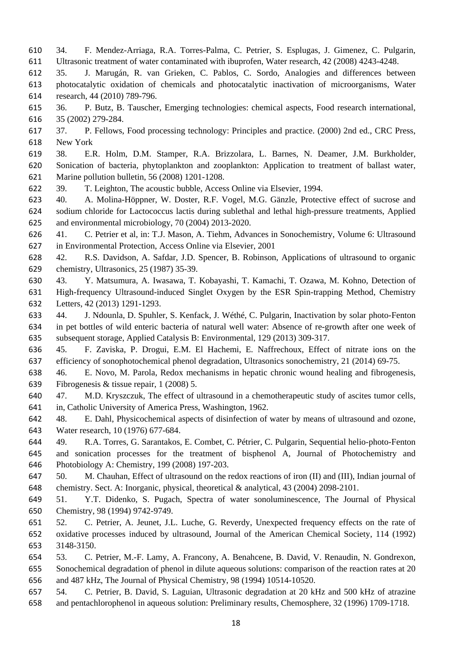- 34. F. Mendez-Arriaga, R.A. Torres-Palma, C. Petrier, S. Esplugas, J. Gimenez, C. Pulgarin, Ultrasonic treatment of water contaminated with ibuprofen, Water research, 42 (2008) 4243-4248.
- 35. J. Marugán, R. van Grieken, C. Pablos, C. Sordo, Analogies and differences between photocatalytic oxidation of chemicals and photocatalytic inactivation of microorganisms, Water research, 44 (2010) 789-796.
- 36. P. Butz, B. Tauscher, Emerging technologies: chemical aspects, Food research international, 35 (2002) 279-284.
- 37. P. Fellows, Food processing technology: Principles and practice. (2000) 2nd ed., CRC Press, New York
- 38. E.R. Holm, D.M. Stamper, R.A. Brizzolara, L. Barnes, N. Deamer, J.M. Burkholder, Sonication of bacteria, phytoplankton and zooplankton: Application to treatment of ballast water, Marine pollution bulletin, 56 (2008) 1201-1208.
- 39. T. Leighton, The acoustic bubble, Access Online via Elsevier, 1994.
- 40. A. Molina-Höppner, W. Doster, R.F. Vogel, M.G. Gänzle, Protective effect of sucrose and sodium chloride for Lactococcus lactis during sublethal and lethal high-pressure treatments, Applied and environmental microbiology, 70 (2004) 2013-2020.
- 41. C. Petrier et al, in: T.J. Mason, A. Tiehm, Advances in Sonochemistry, Volume 6: Ultrasound in Environmental Protection, Access Online via Elsevier, 2001
- 42. R.S. Davidson, A. Safdar, J.D. Spencer, B. Robinson, Applications of ultrasound to organic chemistry, Ultrasonics, 25 (1987) 35-39.
- 43. Y. Matsumura, A. Iwasawa, T. Kobayashi, T. Kamachi, T. Ozawa, M. Kohno, Detection of High-frequency Ultrasound-induced Singlet Oxygen by the ESR Spin-trapping Method, Chemistry Letters, 42 (2013) 1291-1293.
- 44. J. Ndounla, D. Spuhler, S. Kenfack, J. Wéthé, C. Pulgarin, Inactivation by solar photo-Fenton in pet bottles of wild enteric bacteria of natural well water: Absence of re-growth after one week of subsequent storage, Applied Catalysis B: Environmental, 129 (2013) 309-317.
- 45. F. Zaviska, P. Drogui, E.M. El Hachemi, E. Naffrechoux, Effect of nitrate ions on the efficiency of sonophotochemical phenol degradation, Ultrasonics sonochemistry, 21 (2014) 69-75.
- 46. E. Novo, M. Parola, Redox mechanisms in hepatic chronic wound healing and fibrogenesis, Fibrogenesis & tissue repair, 1 (2008) 5.
- 47. M.D. Kryszczuk, The effect of ultrasound in a chemotherapeutic study of ascites tumor cells, in, Catholic University of America Press, Washington, 1962.
- 48. E. Dahl, Physicochemical aspects of disinfection of water by means of ultrasound and ozone, Water research, 10 (1976) 677-684.
- 49. R.A. Torres, G. Sarantakos, E. Combet, C. Pétrier, C. Pulgarin, Sequential helio-photo-Fenton and sonication processes for the treatment of bisphenol A, Journal of Photochemistry and Photobiology A: Chemistry, 199 (2008) 197-203.
- 50. M. Chauhan, Effect of ultrasound on the redox reactions of iron (II) and (III), Indian journal of chemistry. Sect. A: Inorganic, physical, theoretical & analytical, 43 (2004) 2098-2101.
- 51. Y.T. Didenko, S. Pugach, Spectra of water sonoluminescence, The Journal of Physical Chemistry, 98 (1994) 9742-9749.
- 52. C. Petrier, A. Jeunet, J.L. Luche, G. Reverdy, Unexpected frequency effects on the rate of oxidative processes induced by ultrasound, Journal of the American Chemical Society, 114 (1992) 3148-3150.
- 53. C. Petrier, M.-F. Lamy, A. Francony, A. Benahcene, B. David, V. Renaudin, N. Gondrexon, Sonochemical degradation of phenol in dilute aqueous solutions: comparison of the reaction rates at 20 and 487 kHz, The Journal of Physical Chemistry, 98 (1994) 10514-10520.
- 54. C. Petrier, B. David, S. Laguian, Ultrasonic degradation at 20 kHz and 500 kHz of atrazine and pentachlorophenol in aqueous solution: Preliminary results, Chemosphere, 32 (1996) 1709-1718.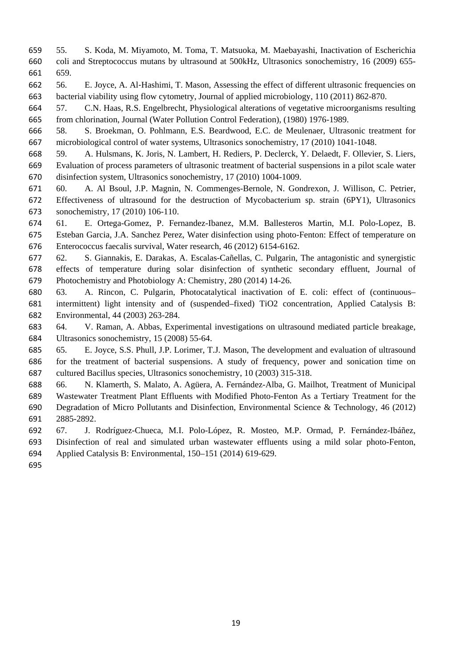- 55. S. Koda, M. Miyamoto, M. Toma, T. Matsuoka, M. Maebayashi, Inactivation of Escherichia coli and Streptococcus mutans by ultrasound at 500kHz, Ultrasonics sonochemistry, 16 (2009) 655- 659.
- 56. E. Joyce, A. Al‐Hashimi, T. Mason, Assessing the effect of different ultrasonic frequencies on bacterial viability using flow cytometry, Journal of applied microbiology, 110 (2011) 862-870.

 57. C.N. Haas, R.S. Engelbrecht, Physiological alterations of vegetative microorganisms resulting from chlorination, Journal (Water Pollution Control Federation), (1980) 1976-1989.

 58. S. Broekman, O. Pohlmann, E.S. Beardwood, E.C. de Meulenaer, Ultrasonic treatment for microbiological control of water systems, Ultrasonics sonochemistry, 17 (2010) 1041-1048.

- 59. A. Hulsmans, K. Joris, N. Lambert, H. Rediers, P. Declerck, Y. Delaedt, F. Ollevier, S. Liers, Evaluation of process parameters of ultrasonic treatment of bacterial suspensions in a pilot scale water disinfection system, Ultrasonics sonochemistry, 17 (2010) 1004-1009.
- 60. A. Al Bsoul, J.P. Magnin, N. Commenges-Bernole, N. Gondrexon, J. Willison, C. Petrier, Effectiveness of ultrasound for the destruction of Mycobacterium sp. strain (6PY1), Ultrasonics sonochemistry, 17 (2010) 106-110.
- 61. E. Ortega-Gomez, P. Fernandez-Ibanez, M.M. Ballesteros Martin, M.I. Polo-Lopez, B. Esteban Garcia, J.A. Sanchez Perez, Water disinfection using photo-Fenton: Effect of temperature on Enterococcus faecalis survival, Water research, 46 (2012) 6154-6162.
- 62. S. Giannakis, E. Darakas, A. Escalas-Cañellas, C. Pulgarin, The antagonistic and synergistic effects of temperature during solar disinfection of synthetic secondary effluent, Journal of Photochemistry and Photobiology A: Chemistry, 280 (2014) 14-26.
- 63. A. Rincon, C. Pulgarin, Photocatalytical inactivation of E. coli: effect of (continuous– intermittent) light intensity and of (suspended–fixed) TiO2 concentration, Applied Catalysis B: Environmental, 44 (2003) 263-284.
- 64. V. Raman, A. Abbas, Experimental investigations on ultrasound mediated particle breakage, Ultrasonics sonochemistry, 15 (2008) 55-64.
- 65. E. Joyce, S.S. Phull, J.P. Lorimer, T.J. Mason, The development and evaluation of ultrasound for the treatment of bacterial suspensions. A study of frequency, power and sonication time on cultured Bacillus species, Ultrasonics sonochemistry, 10 (2003) 315-318.
- 66. N. Klamerth, S. Malato, A. Agüera, A. Fernández-Alba, G. Mailhot, Treatment of Municipal Wastewater Treatment Plant Effluents with Modified Photo-Fenton As a Tertiary Treatment for the Degradation of Micro Pollutants and Disinfection, Environmental Science & Technology, 46 (2012) 2885-2892.
- 67. J. Rodríguez-Chueca, M.I. Polo-López, R. Mosteo, M.P. Ormad, P. Fernández-Ibáñez, Disinfection of real and simulated urban wastewater effluents using a mild solar photo-Fenton,
- Applied Catalysis B: Environmental, 150–151 (2014) 619-629.
-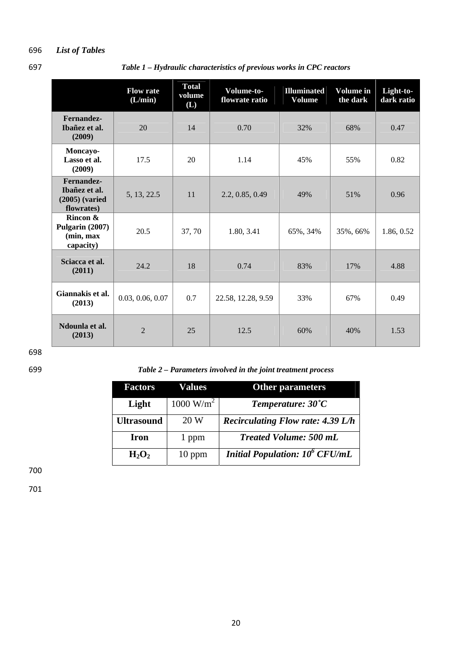697 *Table 1 – Hydraulic characteristics of previous works in CPC reactors* 

|                                                               | <b>Flow rate</b><br>(L/min) | <b>Total</b><br>volume<br>(L) | Volume-to-<br>flowrate ratio | <b>Illuminated</b><br><b>Volume</b> | <b>Volume</b> in<br>the dark | Light-to-<br>dark ratio |  |
|---------------------------------------------------------------|-----------------------------|-------------------------------|------------------------------|-------------------------------------|------------------------------|-------------------------|--|
| Fernandez-<br>Ibañez et al.<br>(2009)                         | 20                          | 14                            | 0.70                         | 32%                                 | 68%                          | 0.47                    |  |
| Moncayo-<br>Lasso et al.<br>(2009)                            | 17.5                        | 20                            | 1.14                         | 45%                                 | 55%                          | 0.82                    |  |
| Fernandez-<br>Ibañez et al.<br>$(2005)$ (varied<br>flowrates) | 5, 13, 22.5                 | 11                            | 2.2, 0.85, 0.49              | 49%                                 | 51%                          | 0.96                    |  |
| Rincon &<br>Pulgarin (2007)<br>(min, max<br>capacity)         | 20.5                        | 37,70                         | 1.80, 3.41                   | 65%, 34%                            | 35%, 66%                     | 1.86, 0.52              |  |
| Sciacca et al.<br>(2011)                                      | 24.2                        | 18                            | 0.74                         | 83%                                 | 17%                          | 4.88                    |  |
| Giannakis et al.<br>(2013)                                    | 0.03, 0.06, 0.07            | 0.7                           | 22.58, 12.28, 9.59           | 33%                                 | 67%                          | 0.49                    |  |
| Ndounla et al.<br>(2013)                                      | $\overline{2}$              | 25                            | 12.5                         | 60%                                 | 40%                          | 1.53                    |  |

#### 699 *Table 2 – Parameters involved in the joint treatment process*

| <b>Factors</b>    | <b>Values</b>        | <b>Other parameters</b>                          |
|-------------------|----------------------|--------------------------------------------------|
| Light             | $1000 \text{ W/m}^2$ | Temperature: 30°C                                |
| <b>Ultrasound</b> | 20 W                 | <b>Recirculating Flow rate: 4.39 L/h</b>         |
| <b>Iron</b>       | 1 ppm                | <b>Treated Volume: 500 mL</b>                    |
| $H_2O_2$          | $10$ ppm             | <b>Initial Population: 10<sup>6</sup> CFU/mL</b> |

700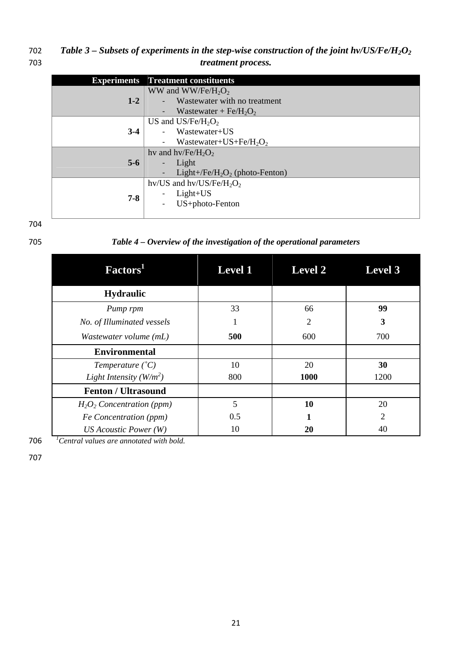## 702 *Table 3 – Subsets of experiments in the step-wise construction of the joint hv/US/Fe/H2O2*  $treatment$  *process.*

|         | <b>Experiments Treatment constituents</b>                |  |  |  |  |  |  |  |
|---------|----------------------------------------------------------|--|--|--|--|--|--|--|
|         | WW and WW/Fe/H <sub>2</sub> O <sub>2</sub>               |  |  |  |  |  |  |  |
| $1 - 2$ | Wastewater with no treatment                             |  |  |  |  |  |  |  |
|         | Wastewater + $Fe/H_2O_2$                                 |  |  |  |  |  |  |  |
|         | US and US/Fe/ $H_2O_2$                                   |  |  |  |  |  |  |  |
| $3-4$   | Wastewater+US                                            |  |  |  |  |  |  |  |
|         | Wastewater+ $US + Fe/H_2O_2$<br>$\overline{\phantom{0}}$ |  |  |  |  |  |  |  |
|         | hv and hv/Fe/ $H_2O_2$                                   |  |  |  |  |  |  |  |
| $5 - 6$ | Light                                                    |  |  |  |  |  |  |  |
|         | Light+/Fe/H <sub>2</sub> O <sub>2</sub> (photo-Fenton)   |  |  |  |  |  |  |  |
|         | hv/US and hv/US/Fe/H <sub>2</sub> O <sub>2</sub>         |  |  |  |  |  |  |  |
|         | $Light+US$                                               |  |  |  |  |  |  |  |
| $7-8$   | US+photo-Fenton<br>$\overline{\phantom{0}}$              |  |  |  |  |  |  |  |
|         |                                                          |  |  |  |  |  |  |  |

704

705 *Table 4 – Overview of the investigation of the operational parameters* 

| Factors <sup>1</sup>         | <b>Level 1</b> | <b>Level 2</b> | <b>Level 3</b> |
|------------------------------|----------------|----------------|----------------|
| <b>Hydraulic</b>             |                |                |                |
| Pump rpm                     | 33             | 66             | 99             |
| No. of Illuminated vessels   |                | 2              | 3              |
| Wastewater volume (mL)       | 500            | 600            | 700            |
| <b>Environmental</b>         |                |                |                |
| Temperature $(^{\circ}C)$    | 10             | 20             | 30             |
| Light Intensity $(W/m^2)$    | 800            | 1000           | 1200           |
| <b>Fenton / Ultrasound</b>   |                |                |                |
| $H_2O_2$ Concentration (ppm) | 5              | 10             | 20             |
| Fe Concentration (ppm)       | 0.5            |                | 2              |
| US Acoustic Power $(W)$      | 10             | 20             | 40             |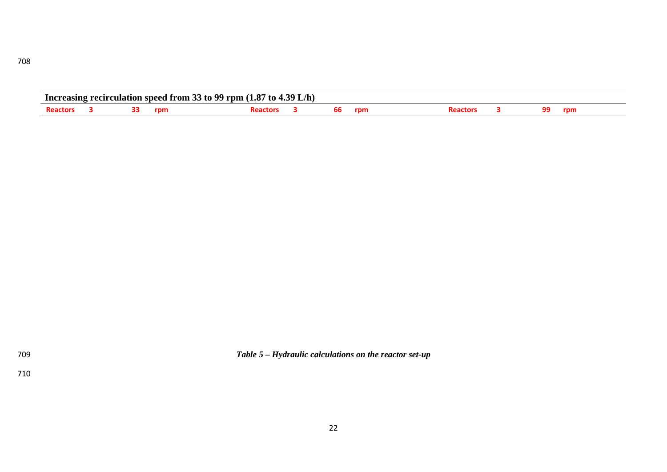| n.<br>30<br>ecirculation speed from 33 to 99<br><b>Incr</b><br>' rpm (1.87<br>L/h<br>- UO |  |    |      |  |  |  |      |  |  |  |      |
|-------------------------------------------------------------------------------------------|--|----|------|--|--|--|------|--|--|--|------|
|                                                                                           |  | -- | rpm. |  |  |  | rpn. |  |  |  | rpn. |

| Table $5$ – Hydraulic calculations on the reactor set-up |
|----------------------------------------------------------|
|                                                          |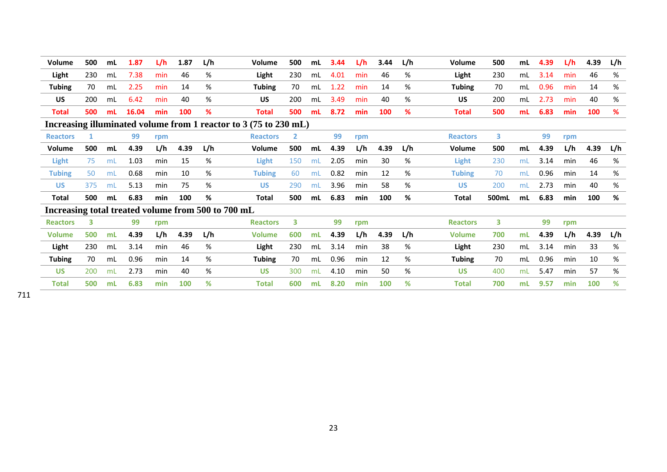| <b>Volume</b>                                                    | 500 | mL | 1.87  | L/h | 1.87 | L/h | Volume                                             | 500          | mL | 3.44 | L/h | 3.44 | L/h | Volume          | 500   | mL | 4.39 | L/h | 4.39 | L/h |
|------------------------------------------------------------------|-----|----|-------|-----|------|-----|----------------------------------------------------|--------------|----|------|-----|------|-----|-----------------|-------|----|------|-----|------|-----|
| Light                                                            | 230 | mL | 7.38  | min | 46   | %   | Light                                              | 230          | mL | 4.01 | min | 46   | %   | Light           | 230   | mL | 3.14 | min | 46   | %   |
| <b>Tubing</b>                                                    | 70  | mL | 2.25  | min | 14   | %   | <b>Tubing</b>                                      | 70           | mL | 1.22 | min | 14   | %   | <b>Tubing</b>   | 70    | mL | 0.96 | min | 14   | %   |
| <b>US</b>                                                        | 200 | mL | 6.42  | min | 40   | %   | <b>US</b>                                          | 200          | mL | 3.49 | min | 40   | %   | <b>US</b>       | 200   | mL | 2.73 | min | 40   | %   |
| <b>Total</b>                                                     | 500 | mL | 16.04 | min | 100  | %   | <b>Total</b>                                       | 500          | mL | 8.72 | min | 100  | ℅   | <b>Total</b>    | 500   | mL | 6.83 | min | 100  | %   |
| Increasing illuminated volume from 1 reactor to 3 (75 to 230 mL) |     |    |       |     |      |     |                                                    |              |    |      |     |      |     |                 |       |    |      |     |      |     |
| <b>Reactors</b>                                                  |     |    | 99    | rpm |      |     | <b>Reactors</b>                                    | $\mathbf{2}$ |    | 99   | rpm |      |     | <b>Reactors</b> | 3     |    | 99   | rpm |      |     |
| Volume                                                           | 500 | mL | 4.39  | L/h | 4.39 | L/h | Volume                                             | 500          | mL | 4.39 | L/h | 4.39 | L/h | <b>Volume</b>   | 500   | mL | 4.39 | L/h | 4.39 | L/h |
| <b>Light</b>                                                     | 75  | mL | 1.03  | min | 15   | %   | <b>Light</b>                                       | 150          | mL | 2.05 | min | 30   | %   | <b>Light</b>    | 230   | mL | 3.14 | min | 46   | %   |
| <b>Tubing</b>                                                    | 50  | ml | 0.68  | min | 10   | %   | <b>Tubing</b>                                      | 60           | mL | 0.82 | min | 12   | %   | <b>Tubing</b>   | 70    | mL | 0.96 | min | 14   | %   |
| <b>US</b>                                                        | 375 | ml | 5.13  | min | 75   | %   | <b>US</b>                                          | 290          | mL | 3.96 | min | 58   | %   | <b>US</b>       | 200   | mL | 2.73 | min | 40   | %   |
| Total                                                            | 500 | mL | 6.83  | min | 100  | %   | <b>Total</b>                                       | 500          | mL | 6.83 | min | 100  | %   | <b>Total</b>    | 500mL | mL | 6.83 | min | 100  | %   |
|                                                                  |     |    |       |     |      |     | Increasing total treated volume from 500 to 700 mL |              |    |      |     |      |     |                 |       |    |      |     |      |     |
| <b>Reactors</b>                                                  | 3   |    | 99    | rpm |      |     | <b>Reactors</b>                                    | 3            |    | 99   | rpm |      |     | <b>Reactors</b> | 3     |    | 99   | rpm |      |     |
| <b>Volume</b>                                                    | 500 | mL | 4.39  | L/h | 4.39 | L/h | <b>Volume</b>                                      | 600          | mL | 4.39 | L/h | 4.39 | L/h | <b>Volume</b>   | 700   | mL | 4.39 | L/h | 4.39 | L/h |
| Light                                                            | 230 | mL | 3.14  | min | 46   | %   | Light                                              | 230          | mL | 3.14 | min | 38   | %   | Light           | 230   | mL | 3.14 | min | 33   | %   |
| <b>Tubing</b>                                                    | 70  | mL | 0.96  | min | 14   | %   | Tubing                                             | 70           | mL | 0.96 | min | 12   | %   | <b>Tubing</b>   | 70    | mL | 0.96 | min | 10   | %   |
| <b>US</b>                                                        | 200 | mL | 2.73  | min | 40   | %   | <b>US</b>                                          | 300          | mL | 4.10 | min | 50   | %   | <b>US</b>       | 400   | mL | 5.47 | min | 57   | %   |
| Total                                                            | 500 | mL | 6.83  | min | 100  | %   | Total                                              | 600          | mL | 8.20 | min | 100  | ℅   | <b>Total</b>    | 700   | mL | 9.57 | min | 100  | %   |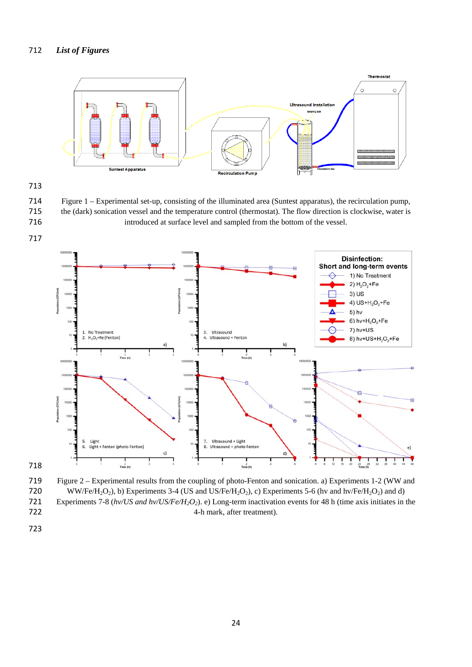#### *List of Figures*





 Figure 1 – Experimental set-up, consisting of the illuminated area (Suntest apparatus), the recirculation pump, the (dark) sonication vessel and the temperature control (thermostat). The flow direction is clockwise, water is introduced at surface level and sampled from the bottom of the vessel.





 Figure 2 – Experimental results from the coupling of photo-Fenton and sonication. a) Experiments 1-2 (WW and 720 WW/Fe/H<sub>2</sub>O<sub>2</sub>), b) Experiments 3-4 (US and US/Fe/H<sub>2</sub>O<sub>2</sub>), c) Experiments 5-6 (hv and hv/Fe/H<sub>2</sub>O<sub>2</sub>) and d) Experiments 7-8 (*hv/US and hv/US/Fe/H2O2*). e) Long-term inactivation events for 48 h (time axis initiates in the 4-h mark, after treatment).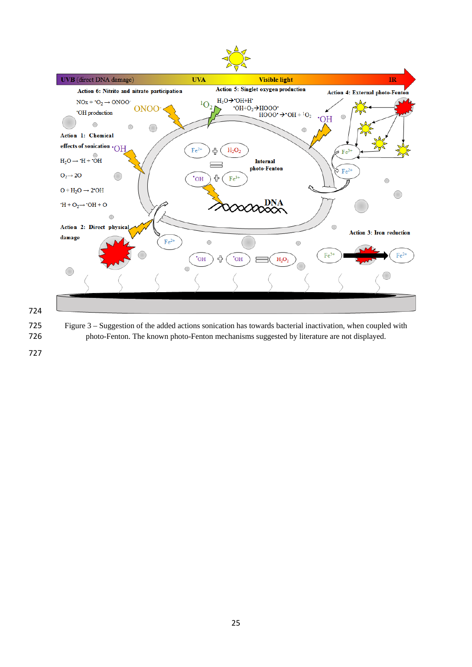

 Figure 3 – Suggestion of the added actions sonication has towards bacterial inactivation, when coupled with photo-Fenton. The known photo-Fenton mechanisms suggested by literature are not displayed.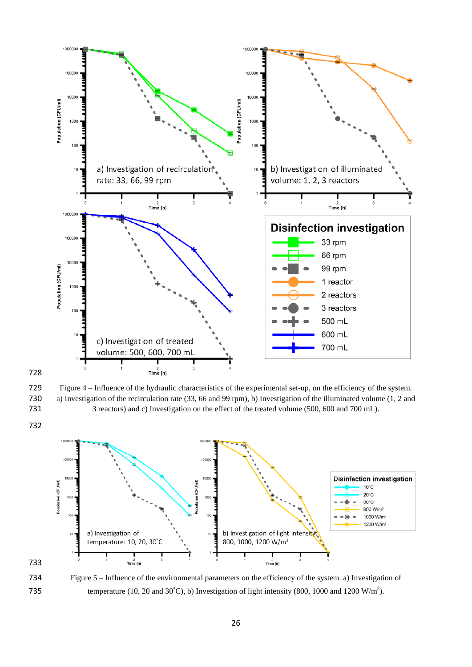

 Figure 4 – Influence of the hydraulic characteristics of the experimental set-up, on the efficiency of the system. a) Investigation of the recirculation rate (33, 66 and 99 rpm), b) Investigation of the illuminated volume (1, 2 and 731 3 reactors) and c) Investigation on the effect of the treated volume (500, 600 and 700 mL).